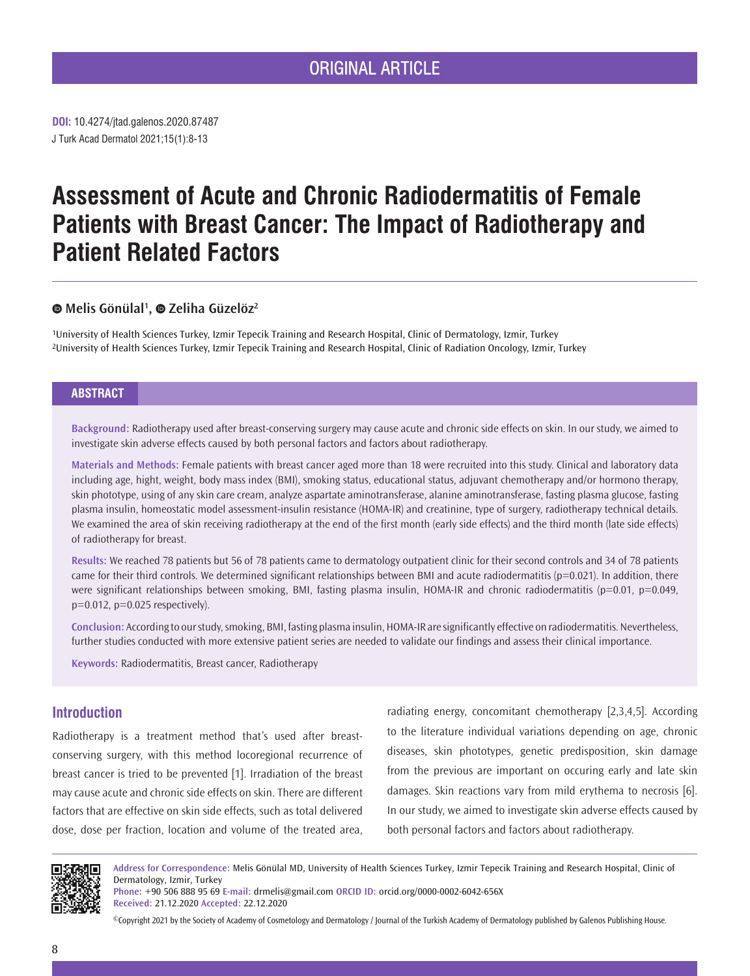# ORIGINAL ARTICLE

**DOI:** 10.4274/jtad.galenos.2020.87487 J Turk Acad Dermatol 2021;15(1):8-13

# **Assessment of Acute and Chronic Radiodermatitis of Female Patients with Breast Cancer: The Impact of Radiotherapy and Patient Related Factors**

# **Melis Gönülal1 , Zeliha Güzelöz2**

1University of Health Sciences Turkey, Izmir Tepecik Training and Research Hospital, Clinic of Dermatology, Izmir, Turkey 2University of Health Sciences Turkey, Izmir Tepecik Training and Research Hospital, Clinic of Radiation Oncology, Izmir, Turkey

# **ABSTRACT**

**Background:** Radiotherapy used after breast-conserving surgery may cause acute and chronic side effects on skin. In our study, we aimed to investigate skin adverse effects caused by both personal factors and factors about radiotherapy.

**Materials and Methods:** Female patients with breast cancer aged more than 18 were recruited into this study. Clinical and laboratory data including age, hight, weight, body mass index (BMI), smoking status, educational status, adjuvant chemotherapy and/or hormono therapy, skin phototype, using of any skin care cream, analyze aspartate aminotransferase, alanine aminotransferase, fasting plasma glucose, fasting plasma insulin, homeostatic model assessment-insulin resistance (HOMA-IR) and creatinine, type of surgery, radiotherapy technical details. We examined the area of skin receiving radiotherapy at the end of the first month (early side effects) and the third month (late side effects) of radiotherapy for breast.

**Results:** We reached 78 patients but 56 of 78 patients came to dermatology outpatient clinic for their second controls and 34 of 78 patients came for their third controls. We determined significant relationships between BMI and acute radiodermatitis ( $p=0.021$ ). In addition, there were significant relationships between smoking, BMI, fasting plasma insulin, HOMA-IR and chronic radiodermatitis (p=0.01, p=0.049, p=0.012, p=0.025 respectively).

**Conclusion:** According to our study, smoking, BMI, fasting plasma insulin, HOMA-IR are significantly effective on radiodermatitis. Nevertheless, further studies conducted with more extensive patient series are needed to validate our findings and assess their clinical importance.

**Keywords:** Radiodermatitis, Breast cancer, Radiotherapy

# **Introduction**

Radiotherapy is a treatment method that's used after breastconserving surgery, with this method locoregional recurrence of breast cancer is tried to be prevented [1]. Irradiation of the breast may cause acute and chronic side effects on skin. There are different factors that are effective on skin side effects, such as total delivered dose, dose per fraction, location and volume of the treated area, radiating energy, concomitant chemotherapy [2,3,4,5]. According to the literature individual variations depending on age, chronic diseases, skin phototypes, genetic predisposition, skin damage from the previous are important on occuring early and late skin damages. Skin reactions vary from mild erythema to necrosis [6]. In our study, we aimed to investigate skin adverse effects caused by both personal factors and factors about radiotherapy.



**Address for Correspondence:** Melis Gönülal MD, University of Health Sciences Turkey, Izmir Tepecik Training and Research Hospital, Clinic of Dermatology, Izmir, Turkey

**Phone:** +90 506 888 95 69 **E-mail:** drmelis@gmail.com **ORCID ID:** orcid.org/0000-0002-6042-656X **Received:** 21.12.2020 **Accepted:** 22.12.2020

©Copyright 2021 by the Society of Academy of Cosmetology and Dermatology / Journal of the Turkish Academy of Dermatology published by Galenos Publishing House.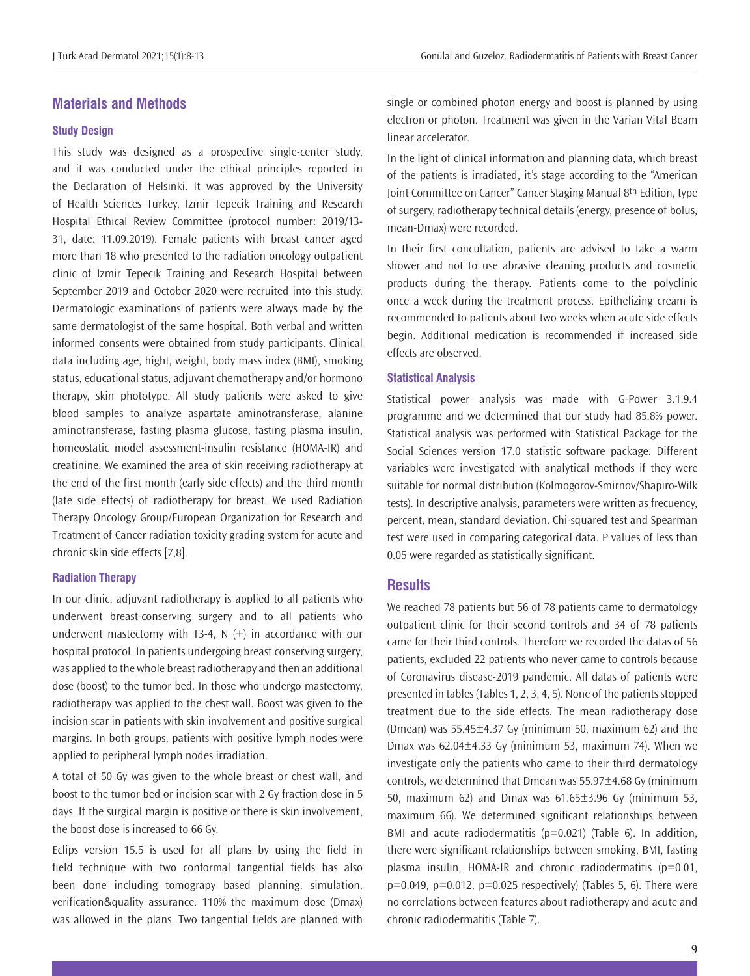# **Materials and Methods**

# **Study Design**

This study was designed as a prospective single-center study, and it was conducted under the ethical principles reported in the Declaration of Helsinki. It was approved by the University of Health Sciences Turkey, Izmir Tepecik Training and Research Hospital Ethical Review Committee (protocol number: 2019/13- 31, date: 11.09.2019). Female patients with breast cancer aged more than 18 who presented to the radiation oncology outpatient clinic of Izmir Tepecik Training and Research Hospital between September 2019 and October 2020 were recruited into this study. Dermatologic examinations of patients were always made by the same dermatologist of the same hospital. Both verbal and written informed consents were obtained from study participants. Clinical data including age, hight, weight, body mass index (BMI), smoking status, educational status, adjuvant chemotherapy and/or hormono therapy, skin phototype. All study patients were asked to give blood samples to analyze aspartate aminotransferase, alanine aminotransferase, fasting plasma glucose, fasting plasma insulin, homeostatic model assessment-insulin resistance (HOMA-IR) and creatinine. We examined the area of skin receiving radiotherapy at the end of the first month (early side effects) and the third month (late side effects) of radiotherapy for breast. We used Radiation Therapy Oncology Group/European Organization for Research and Treatment of Cancer radiation toxicity grading system for acute and chronic skin side effects [7,8].

#### **Radiation Therapy**

In our clinic, adjuvant radiotherapy is applied to all patients who underwent breast-conserving surgery and to all patients who underwent mastectomy with T3-4, N  $(+)$  in accordance with our hospital protocol. In patients undergoing breast conserving surgery, was applied to the whole breast radiotherapy and then an additional dose (boost) to the tumor bed. In those who undergo mastectomy, radiotherapy was applied to the chest wall. Boost was given to the incision scar in patients with skin involvement and positive surgical margins. In both groups, patients with positive lymph nodes were applied to peripheral lymph nodes irradiation.

A total of 50 Gy was given to the whole breast or chest wall, and boost to the tumor bed or incision scar with 2 Gy fraction dose in 5 days. If the surgical margin is positive or there is skin involvement, the boost dose is increased to 66 Gy.

Eclips version 15.5 is used for all plans by using the field in field technique with two conformal tangential fields has also been done including tomograpy based planning, simulation, verification&quality assurance. 110% the maximum dose (Dmax) was allowed in the plans. Two tangential fields are planned with

single or combined photon energy and boost is planned by using electron or photon. Treatment was given in the Varian Vital Beam linear accelerator.

In the light of clinical information and planning data, which breast of the patients is irradiated, it's stage according to the "American Joint Committee on Cancer" Cancer Staging Manual 8th Edition, type of surgery, radiotherapy technical details (energy, presence of bolus, mean-Dmax) were recorded.

In their first concultation, patients are advised to take a warm shower and not to use abrasive cleaning products and cosmetic products during the therapy. Patients come to the polyclinic once a week during the treatment process. Epithelizing cream is recommended to patients about two weeks when acute side effects begin. Additional medication is recommended if increased side effects are observed.

#### **Statistical Analysis**

Statistical power analysis was made with G-Power 3.1.9.4 programme and we determined that our study had 85.8% power. Statistical analysis was performed with Statistical Package for the Social Sciences version 17.0 statistic software package. Different variables were investigated with analytical methods if they were suitable for normal distribution (Kolmogorov-Smirnov/Shapiro-Wilk tests). In descriptive analysis, parameters were written as frecuency, percent, mean, standard deviation. Chi-squared test and Spearman test were used in comparing categorical data. P values of less than 0.05 were regarded as statistically significant.

#### **Results**

We reached 78 patients but 56 of 78 patients came to dermatology outpatient clinic for their second controls and 34 of 78 patients came for their third controls. Therefore we recorded the datas of 56 patients, excluded 22 patients who never came to controls because of Coronavirus disease-2019 pandemic. All datas of patients were presented in tables (Tables 1, 2, 3, 4, 5). None of the patients stopped treatment due to the side effects. The mean radiotherapy dose (Dmean) was  $55.45\pm4.37$  Gy (minimum 50, maximum 62) and the Dmax was  $62.04 \pm 4.33$  Gy (minimum 53, maximum 74). When we investigate only the patients who came to their third dermatology controls, we determined that Dmean was  $55.97\pm4.68$  Gy (minimum 50, maximum 62) and Dmax was  $61.65\pm3.96$  Gy (minimum 53, maximum 66). We determined significant relationships between BMI and acute radiodermatitis ( $p=0.021$ ) (Table 6). In addition, there were significant relationships between smoking, BMI, fasting plasma insulin, HOMA-IR and chronic radiodermatitis  $(p=0.01, p=0.01)$  $p=0.049$ ,  $p=0.012$ ,  $p=0.025$  respectively) (Tables 5, 6). There were no correlations between features about radiotherapy and acute and chronic radiodermatitis (Table 7).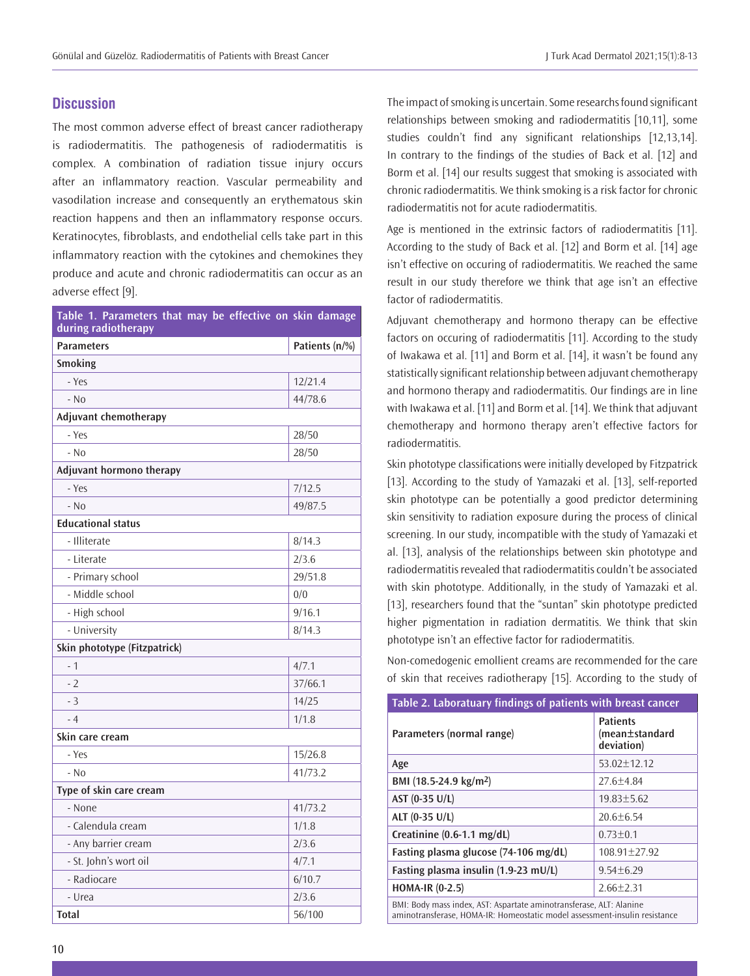# **Discussion**

The most common adverse effect of breast cancer radiotherapy is radiodermatitis. The pathogenesis of radiodermatitis is complex. A combination of radiation tissue injury occurs after an inflammatory reaction. Vascular permeability and vasodilation increase and consequently an erythematous skin reaction happens and then an inflammatory response occurs. Keratinocytes, fibroblasts, and endothelial cells take part in this inflammatory reaction with the cytokines and chemokines they produce and acute and chronic radiodermatitis can occur as an adverse effect [9].

| Table 1. Parameters that may be effective on skin damage<br>during radiotherapy |                |
|---------------------------------------------------------------------------------|----------------|
| <b>Parameters</b>                                                               | Patients (n/%) |
| <b>Smoking</b>                                                                  |                |
| - Yes                                                                           | 12/21.4        |
| $-NO$                                                                           | 44/78.6        |
| Adjuvant chemotherapy                                                           |                |
| - Yes                                                                           | 28/50          |
| $-$ No                                                                          | 28/50          |
| Adjuvant hormono therapy                                                        |                |
| - Yes                                                                           | 7/12.5         |
| $-NO$                                                                           | 49/87.5        |
| <b>Educational status</b>                                                       |                |
| - Illiterate                                                                    | 8/14.3         |
| - Literate                                                                      | 2/3.6          |
| - Primary school                                                                | 29/51.8        |
| - Middle school                                                                 | 0/0            |
| - High school                                                                   | 9/16.1         |
| - University                                                                    | 8/14.3         |
| Skin phototype (Fitzpatrick)                                                    |                |
| $-1$                                                                            | 4/7.1          |
| $-2$                                                                            | 37/66.1        |
| $-3$                                                                            | 14/25          |
| $-4$                                                                            | 1/1.8          |
| Skin care cream                                                                 |                |
| - Yes                                                                           | 15/26.8        |
| $-$ No                                                                          | 41/73.2        |
| Type of skin care cream                                                         |                |
| - None                                                                          | 41/73.2        |
| - Calendula cream                                                               | 1/1.8          |
| - Any barrier cream                                                             | 2/3.6          |
| - St. John's wort oil                                                           | 4/7.1          |
| - Radiocare                                                                     | 6/10.7         |
| - Urea                                                                          | 2/3.6          |
| <b>Total</b>                                                                    | 56/100         |

The impact of smoking is uncertain. Some researchs found significant relationships between smoking and radiodermatitis [10,11], some studies couldn't find any significant relationships [12,13,14]. In contrary to the findings of the studies of Back et al. [12] and Borm et al. [14] our results suggest that smoking is associated with chronic radiodermatitis. We think smoking is a risk factor for chronic radiodermatitis not for acute radiodermatitis.

Age is mentioned in the extrinsic factors of radiodermatitis [11]. According to the study of Back et al. [12] and Borm et al. [14] age isn't effective on occuring of radiodermatitis. We reached the same result in our study therefore we think that age isn't an effective factor of radiodermatitis.

Adjuvant chemotherapy and hormono therapy can be effective factors on occuring of radiodermatitis [11]. According to the study of Iwakawa et al. [11] and Borm et al. [14], it wasn't be found any statistically significant relationship between adjuvant chemotherapy and hormono therapy and radiodermatitis. Our findings are in line with Iwakawa et al. [11] and Borm et al. [14]. We think that adjuvant chemotherapy and hormono therapy aren't effective factors for radiodermatitis.

Skin phototype classifications were initially developed by Fitzpatrick [13]. According to the study of Yamazaki et al. [13], self-reported skin phototype can be potentially a good predictor determining skin sensitivity to radiation exposure during the process of clinical screening. In our study, incompatible with the study of Yamazaki et al. [13], analysis of the relationships between skin phototype and radiodermatitis revealed that radiodermatitis couldn't be associated with skin phototype. Additionally, in the study of Yamazaki et al. [13], researchers found that the "suntan" skin phototype predicted higher pigmentation in radiation dermatitis. We think that skin phototype isn't an effective factor for radiodermatitis.

Non-comedogenic emollient creams are recommended for the care of skin that receives radiotherapy [15]. According to the study of

| Table 2. Laboratuary findings of patients with breast cancer        |                                                 |  |
|---------------------------------------------------------------------|-------------------------------------------------|--|
| Parameters (normal range)                                           | <b>Patients</b><br>(mean±standard<br>deviation) |  |
| Age                                                                 | $53.02 + 12.12$                                 |  |
| BMI (18.5-24.9 kg/m <sup>2</sup> )                                  | $27.6 + 4.84$                                   |  |
| AST (0-35 U/L)                                                      | $19.83 + 5.62$                                  |  |
| ALT (0-35 U/L)                                                      | $20.6 + 6.54$                                   |  |
| Creatinine $(0.6-1.1 \text{ mg/dL})$                                | $0.73 + 0.1$                                    |  |
| Fasting plasma glucose (74-106 mg/dL)                               | $108.91 + 27.92$                                |  |
| Fasting plasma insulin (1.9-23 mU/L)                                | $9.54 + 6.29$                                   |  |
| $HOMA-IR (0-2.5)$                                                   | $2.66 + 2.31$                                   |  |
| BMI: Body mass index, AST: Aspartate aminotransferase, ALT: Alanine |                                                 |  |

aminotransferase, HOMA-IR: Homeostatic model assessment-insulin resistance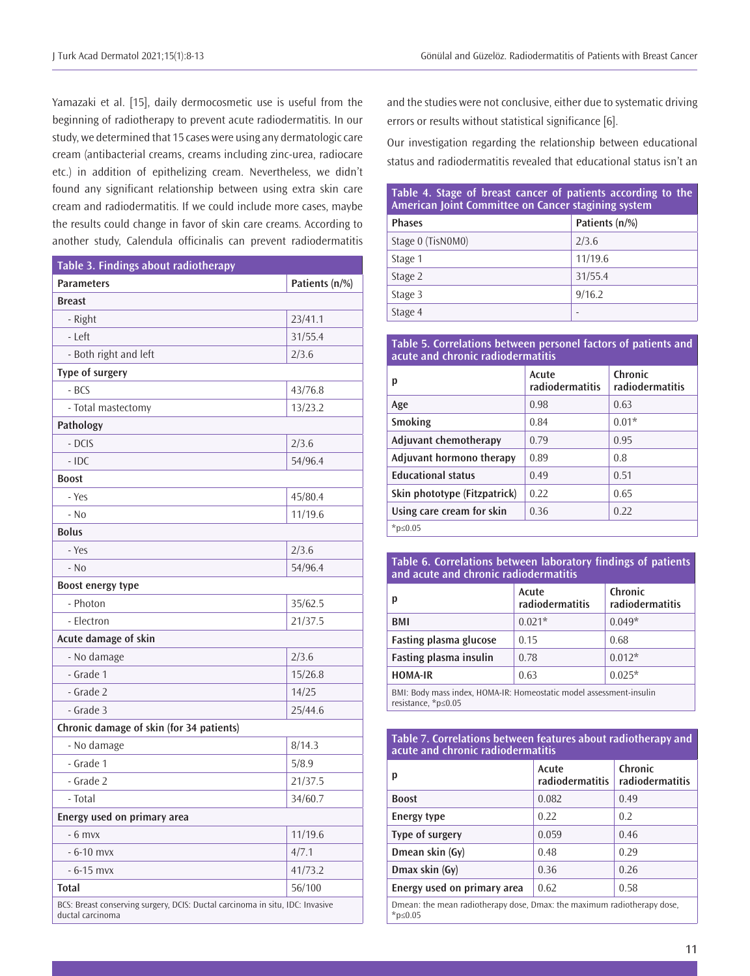Yamazaki et al. [15], daily dermocosmetic use is useful from the beginning of radiotherapy to prevent acute radiodermatitis. In our study, we determined that 15 cases were using any dermatologic care cream (antibacterial creams, creams including zinc-urea, radiocare etc.) in addition of epithelizing cream. Nevertheless, we didn't found any significant relationship between using extra skin care cream and radiodermatitis. If we could include more cases, maybe the results could change in favor of skin care creams. According to another study, Calendula officinalis can prevent radiodermatitis

| Table 3. Findings about radiotherapy                                                              |                |
|---------------------------------------------------------------------------------------------------|----------------|
| <b>Parameters</b>                                                                                 | Patients (n/%) |
| <b>Breast</b>                                                                                     |                |
| - Right                                                                                           | 23/41.1        |
| $ left$ $eff$                                                                                     | 31/55.4        |
| - Both right and left                                                                             | 2/3.6          |
| Type of surgery                                                                                   |                |
| $-BCS$                                                                                            | 43/76.8        |
| - Total mastectomy                                                                                | 13/23.2        |
| Pathology                                                                                         |                |
| - DCIS                                                                                            | 2/3.6          |
| $-$ IDC                                                                                           | 54/96.4        |
| <b>Boost</b>                                                                                      |                |
| - Yes                                                                                             | 45/80.4        |
| $-$ No                                                                                            | 11/19.6        |
| <b>Bolus</b>                                                                                      |                |
| - Yes                                                                                             | 2/3.6          |
| - No                                                                                              | 54/96.4        |
| Boost energy type                                                                                 |                |
| - Photon                                                                                          | 35/62.5        |
| - Electron                                                                                        | 21/37.5        |
| Acute damage of skin                                                                              |                |
| - No damage                                                                                       | 2/3.6          |
| - Grade 1                                                                                         | 15/26.8        |
| - Grade 2                                                                                         | 14/25          |
| - Grade 3                                                                                         | 25/44.6        |
| Chronic damage of skin (for 34 patients)                                                          |                |
| - No damage                                                                                       | 8/14.3         |
| - Grade 1                                                                                         | 5/8.9          |
| - Grade 2                                                                                         | 21/37.5        |
| - Total                                                                                           | 34/60.7        |
| Energy used on primary area                                                                       |                |
| $-6$ mvx                                                                                          | 11/19.6        |
| $-6 - 10$ mvx                                                                                     | 4/7.1          |
| $-6 - 15$ mvx                                                                                     | 41/73.2        |
| <b>Total</b>                                                                                      | 56/100         |
| BCS: Breast conserving surgery, DCIS: Ductal carcinoma in situ, IDC: Invasive<br>ductal carcinoma |                |

and the studies were not conclusive, either due to systematic driving errors or results without statistical significance [6].

Our investigation regarding the relationship between educational status and radiodermatitis revealed that educational status isn't an

| Table 4. Stage of breast cancer of patients according to the<br>American Joint Committee on Cancer stagining system |                |  |
|---------------------------------------------------------------------------------------------------------------------|----------------|--|
| <b>Phases</b>                                                                                                       | Patients (n/%) |  |
| Stage 0 (TisN0M0)                                                                                                   | 2/3.6          |  |
| Stage 1                                                                                                             | 11/19.6        |  |
| Stage 2                                                                                                             | 31/55.4        |  |
| Stage 3                                                                                                             | 9/16.2         |  |
| Stage 4                                                                                                             |                |  |

#### **Table 5. Correlations between personel factors of patients and acute and chronic radiodermatitis**

| р                            | Acute<br>radiodermatitis | Chronic<br>radiodermatitis |
|------------------------------|--------------------------|----------------------------|
| Age                          | 0.98                     | 0.63                       |
| Smoking                      | 0.84                     | $0.01*$                    |
| Adjuvant chemotherapy        | 0.79                     | 0.95                       |
| Adjuvant hormono therapy     | 0.89                     | 0.8                        |
| <b>Educational status</b>    | 0.49                     | 0.51                       |
| Skin phototype (Fitzpatrick) | 0.22                     | 0.65                       |
| Using care cream for skin    | 0.36                     | 0.22                       |
| * $p≤0.05$                   |                          |                            |

### **Table 6. Correlations between laboratory findings of patients and acute and chronic radiodermatitis**

| p                                                                  | Acute<br>radiodermatitis | Chronic<br>radiodermatitis |
|--------------------------------------------------------------------|--------------------------|----------------------------|
| BMI                                                                | $0.021*$                 | $0.049*$                   |
| <b>Fasting plasma glucose</b>                                      | 0.15                     | 0.68                       |
| Fasting plasma insulin                                             | 0.78                     | $0.012*$                   |
| <b>HOMA-IR</b>                                                     | 0.63                     | $0.025*$                   |
| BMI: Body mass index HOMA-IR: Homeostatic model assessment-insulin |                          |                            |

BMI: Body mass index, HOMA-IR: Homeostatic model assessment-insulin resistance, \*p≤0.05

#### **Table 7. Correlations between features about radiotherapy and acute and chronic radiodermatitis**

| р                                                                                     | Acute<br>radiodermatitis | Chronic<br>radiodermatitis |
|---------------------------------------------------------------------------------------|--------------------------|----------------------------|
| <b>Boost</b>                                                                          | 0.082                    | 0.49                       |
| <b>Energy type</b>                                                                    | 0.22                     | 0.2                        |
| Type of surgery                                                                       | 0.059                    | 0.46                       |
| Dmean skin (Gy)                                                                       | 0.48                     | 0.29                       |
| Dmax skin (Gy)                                                                        | 0.36                     | 0.26                       |
| Energy used on primary area                                                           | 0.62                     | 0.58                       |
| Dmean: the mean radiotherapy dose, Dmax: the maximum radiotherapy dose,<br>* $p≤0.05$ |                          |                            |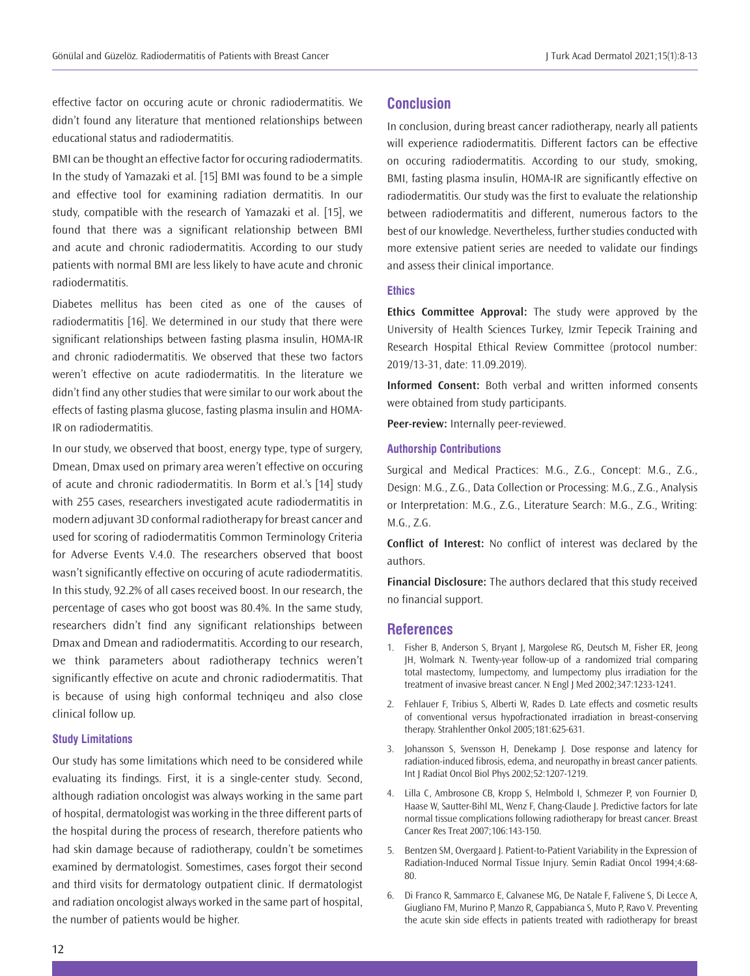effective factor on occuring acute or chronic radiodermatitis. We didn't found any literature that mentioned relationships between educational status and radiodermatitis.

BMI can be thought an effective factor for occuring radiodermatits. In the study of Yamazaki et al. [15] BMI was found to be a simple and effective tool for examining radiation dermatitis. In our study, compatible with the research of Yamazaki et al. [15], we found that there was a significant relationship between BMI and acute and chronic radiodermatitis. According to our study patients with normal BMI are less likely to have acute and chronic radiodermatitis.

Diabetes mellitus has been cited as one of the causes of radiodermatitis [16]. We determined in our study that there were significant relationships between fasting plasma insulin, HOMA-IR and chronic radiodermatitis. We observed that these two factors weren't effective on acute radiodermatitis. In the literature we didn't find any other studies that were similar to our work about the effects of fasting plasma glucose, fasting plasma insulin and HOMA-IR on radiodermatitis.

In our study, we observed that boost, energy type, type of surgery, Dmean, Dmax used on primary area weren't effective on occuring of acute and chronic radiodermatitis. In Borm et al.'s [14] study with 255 cases, researchers investigated acute radiodermatitis in modern adjuvant 3D conformal radiotherapy for breast cancer and used for scoring of radiodermatitis Common Terminology Criteria for Adverse Events V.4.0. The researchers observed that boost wasn't significantly effective on occuring of acute radiodermatitis. In this study, 92.2% of all cases received boost. In our research, the percentage of cases who got boost was 80.4%. In the same study, researchers didn't find any significant relationships between Dmax and Dmean and radiodermatitis. According to our research, we think parameters about radiotherapy technics weren't significantly effective on acute and chronic radiodermatitis. That is because of using high conformal techniqeu and also close clinical follow up.

## **Study Limitations**

Our study has some limitations which need to be considered while evaluating its findings. First, it is a single-center study. Second, although radiation oncologist was always working in the same part of hospital, dermatologist was working in the three different parts of the hospital during the process of research, therefore patients who had skin damage because of radiotherapy, couldn't be sometimes examined by dermatologist. Somestimes, cases forgot their second and third visits for dermatology outpatient clinic. If dermatologist and radiation oncologist always worked in the same part of hospital, the number of patients would be higher.

# **Conclusion**

In conclusion, during breast cancer radiotherapy, nearly all patients will experience radiodermatitis. Different factors can be effective on occuring radiodermatitis. According to our study, smoking, BMI, fasting plasma insulin, HOMA-IR are significantly effective on radiodermatitis. Our study was the first to evaluate the relationship between radiodermatitis and different, numerous factors to the best of our knowledge. Nevertheless, further studies conducted with more extensive patient series are needed to validate our findings and assess their clinical importance.

# **Ethics**

**Ethics Committee Approval:** The study were approved by the University of Health Sciences Turkey, Izmir Tepecik Training and Research Hospital Ethical Review Committee (protocol number: 2019/13-31, date: 11.09.2019).

**Informed Consent:** Both verbal and written informed consents were obtained from study participants.

**Peer-review:** Internally peer-reviewed.

# **Authorship Contributions**

Surgical and Medical Practices: M.G., Z.G., Concept: M.G., Z.G., Design: M.G., Z.G., Data Collection or Processing: M.G., Z.G., Analysis or Interpretation: M.G., Z.G., Literature Search: M.G., Z.G., Writing: M.G., Z.G.

**Conflict of Interest:** No conflict of interest was declared by the authors.

**Financial Disclosure:** The authors declared that this study received no financial support.

## **References**

- 1. Fisher B, Anderson S, Bryant J, Margolese RG, Deutsch M, Fisher ER, Jeong JH, Wolmark N. Twenty-year follow-up of a randomized trial comparing total mastectomy, lumpectomy, and lumpectomy plus irradiation for the treatment of invasive breast cancer. N Engl J Med 2002;347:1233-1241.
- 2. Fehlauer F, Tribius S, Alberti W, Rades D. Late effects and cosmetic results of conventional versus hypofractionated irradiation in breast-conserving therapy. Strahlenther Onkol 2005;181:625-631.
- 3. Johansson S, Svensson H, Denekamp J. Dose response and latency for radiation-induced fibrosis, edema, and neuropathy in breast cancer patients. Int J Radiat Oncol Biol Phys 2002;52:1207-1219.
- 4. Lilla C, Ambrosone CB, Kropp S, Helmbold I, Schmezer P, von Fournier D, Haase W, Sautter-Bihl ML, Wenz F, Chang-Claude J. Predictive factors for late normal tissue complications following radiotherapy for breast cancer. Breast Cancer Res Treat 2007;106:143-150.
- 5. Bentzen SM, Overgaard J. Patient-to-Patient Variability in the Expression of Radiation-Induced Normal Tissue Injury. Semin Radiat Oncol 1994;4:68- 80.
- 6. Di Franco R, Sammarco E, Calvanese MG, De Natale F, Falivene S, Di Lecce A, Giugliano FM, Murino P, Manzo R, Cappabianca S, Muto P, Ravo V. Preventing the acute skin side effects in patients treated with radiotherapy for breast